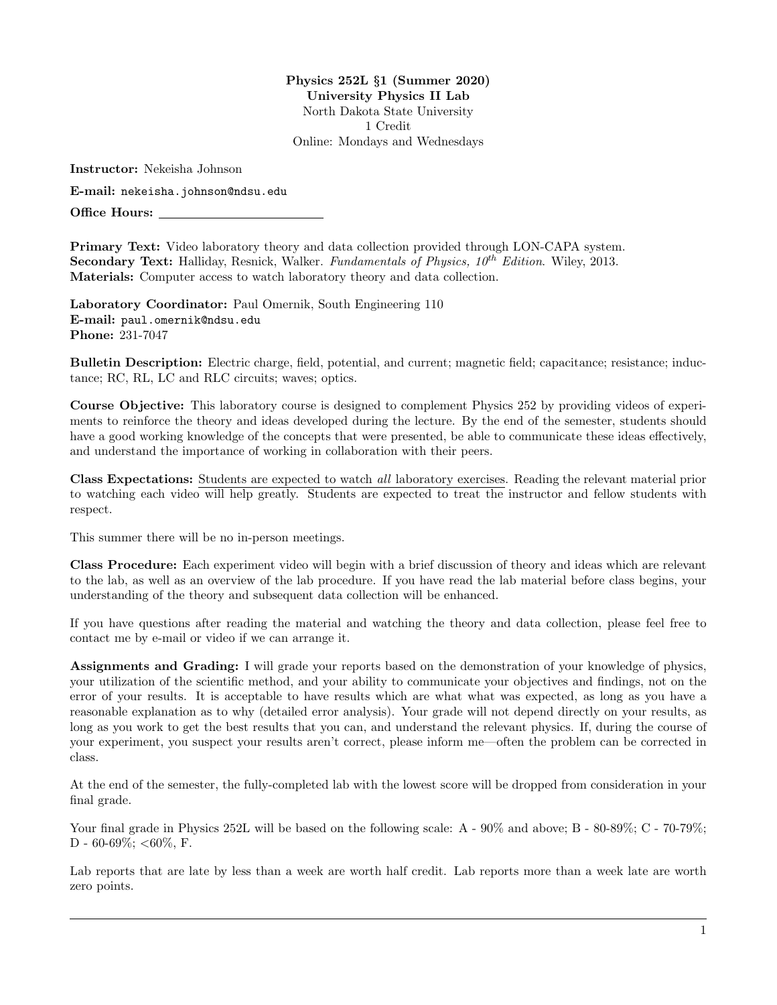Physics 252L §1 (Summer 2020) University Physics II Lab North Dakota State University 1 Credit Online: Mondays and Wednesdays

Instructor: Nekeisha Johnson

E-mail: nekeisha.johnson@ndsu.edu

Office Hours:

Primary Text: Video laboratory theory and data collection provided through LON-CAPA system. Secondary Text: Halliday, Resnick, Walker. Fundamentals of Physics,  $10^{th}$  Edition. Wiley, 2013. Materials: Computer access to watch laboratory theory and data collection.

Laboratory Coordinator: Paul Omernik, South Engineering 110 E-mail: paul.omernik@ndsu.edu Phone: 231-7047

Bulletin Description: Electric charge, field, potential, and current; magnetic field; capacitance; resistance; inductance; RC, RL, LC and RLC circuits; waves; optics.

Course Objective: This laboratory course is designed to complement Physics 252 by providing videos of experiments to reinforce the theory and ideas developed during the lecture. By the end of the semester, students should have a good working knowledge of the concepts that were presented, be able to communicate these ideas effectively, and understand the importance of working in collaboration with their peers.

Class Expectations: Students are expected to watch all laboratory exercises. Reading the relevant material prior to watching each video will help greatly. Students are expected to treat the instructor and fellow students with respect.

This summer there will be no in-person meetings.

Class Procedure: Each experiment video will begin with a brief discussion of theory and ideas which are relevant to the lab, as well as an overview of the lab procedure. If you have read the lab material before class begins, your understanding of the theory and subsequent data collection will be enhanced.

If you have questions after reading the material and watching the theory and data collection, please feel free to contact me by e-mail or video if we can arrange it.

Assignments and Grading: I will grade your reports based on the demonstration of your knowledge of physics, your utilization of the scientific method, and your ability to communicate your objectives and findings, not on the error of your results. It is acceptable to have results which are what what was expected, as long as you have a reasonable explanation as to why (detailed error analysis). Your grade will not depend directly on your results, as long as you work to get the best results that you can, and understand the relevant physics. If, during the course of your experiment, you suspect your results aren't correct, please inform me—often the problem can be corrected in class.

At the end of the semester, the fully-completed lab with the lowest score will be dropped from consideration in your final grade.

Your final grade in Physics 252L will be based on the following scale: A -  $90\%$  and above; B -  $80\text{-}89\%$ ; C -  $70\text{-}79\%$ ; D - 60-69%;  $<$ 60%, F.

Lab reports that are late by less than a week are worth half credit. Lab reports more than a week late are worth zero points.